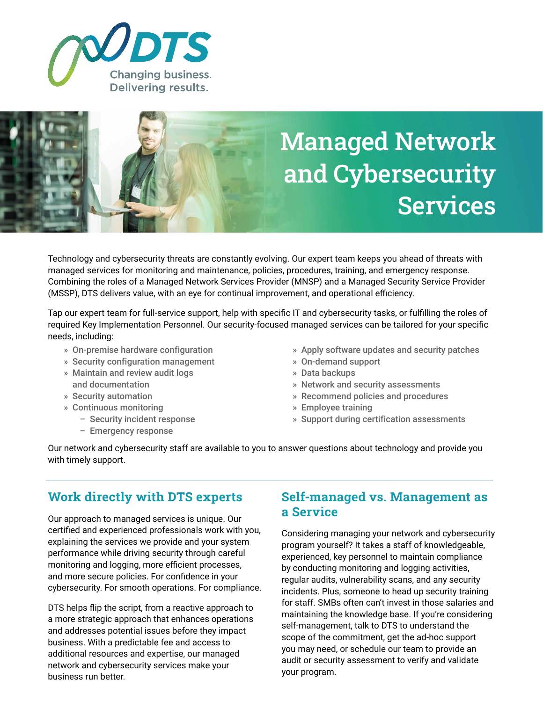



Technology and cybersecurity threats are constantly evolving. Our expert team keeps you ahead of threats with managed services for monitoring and maintenance, policies, procedures, training, and emergency response. Combining the roles of a Managed Network Services Provider (MNSP) and a Managed Security Service Provider (MSSP), DTS delivers value, with an eye for continual improvement, and operational efficiency.

Tap our expert team for full-service support, help with specific IT and cybersecurity tasks, or fulfilling the roles of required Key Implementation Personnel. Our security-focused managed services can be tailored for your specific needs, including:

- » On-premise hardware configuration
- » Security configuration management
- » Maintain and review audit logs and documentation
- » Security automation
- » Continuous monitoring
	- Security incident response
	- Emergency response
- » Apply software updates and security patches
- » On-demand support
- » Data backups
- » Network and security assessments
- » Recommend policies and procedures
- » Employee training
- » Support during certification assessments

Our network and cybersecurity staff are available to you to answer questions about technology and provide you with timely support.

# **Work directly with DTS experts**

Our approach to managed services is unique. Our certified and experienced professionals work with you, explaining the services we provide and your system performance while driving security through careful monitoring and logging, more efficient processes, and more secure policies. For confidence in your cybersecurity. For smooth operations. For compliance.

DTS helps flip the script, from a reactive approach to a more strategic approach that enhances operations and addresses potential issues before they impact business. With a predictable fee and access to additional resources and expertise, our managed network and cybersecurity services make your business run better.

## **Self-managed vs. Management as a Service**

Considering managing your network and cybersecurity program yourself? It takes a staff of knowledgeable, experienced, key personnel to maintain compliance by conducting monitoring and logging activities, regular audits, vulnerability scans, and any security incidents. Plus, someone to head up security training for staff. SMBs often can't invest in those salaries and maintaining the knowledge base. If you're considering self-management, talk to DTS to understand the scope of the commitment, get the ad-hoc support you may need, or schedule our team to provide an audit or security assessment to verify and validate your program.